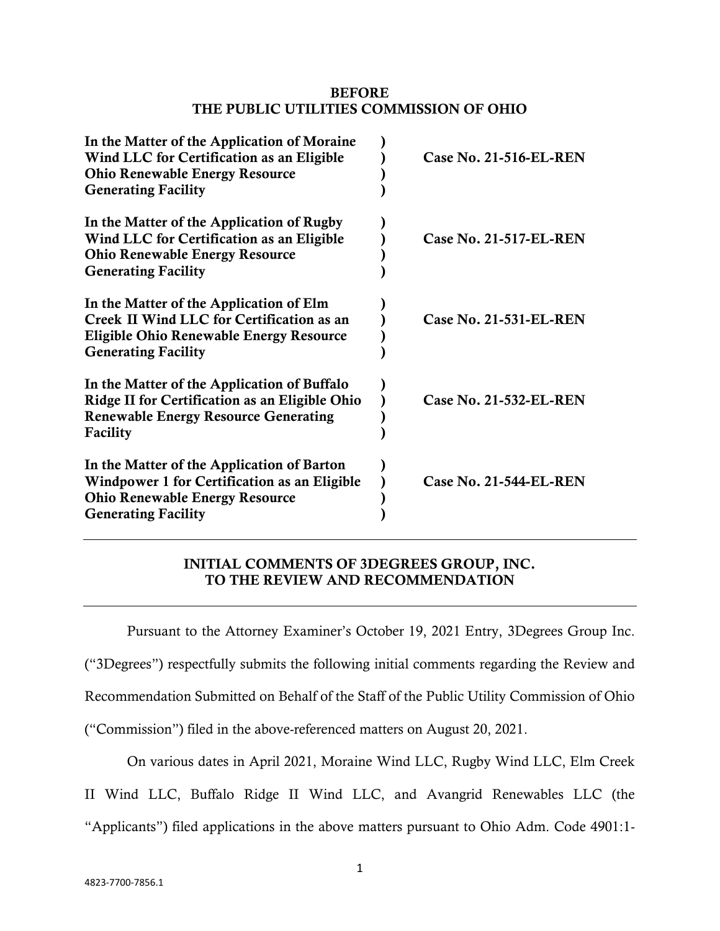#### **BEFORE THE PUBLIC UTILITIES COMMISSION OF OHIO**

| In the Matter of the Application of Moraine<br>Wind LLC for Certification as an Eligible<br><b>Ohio Renewable Energy Resource</b><br><b>Generating Facility</b>      | Case No. 21-516-EL-REN        |
|----------------------------------------------------------------------------------------------------------------------------------------------------------------------|-------------------------------|
| In the Matter of the Application of Rugby<br>Wind LLC for Certification as an Eligible<br><b>Ohio Renewable Energy Resource</b><br><b>Generating Facility</b>        | Case No. 21-517-EL-REN        |
| In the Matter of the Application of Elm<br>Creek II Wind LLC for Certification as an<br><b>Eligible Ohio Renewable Energy Resource</b><br><b>Generating Facility</b> | Case No. 21-531-EL-REN        |
| In the Matter of the Application of Buffalo<br>Ridge II for Certification as an Eligible Ohio<br><b>Renewable Energy Resource Generating</b><br>Facility             | Case No. 21-532-EL-REN        |
| In the Matter of the Application of Barton<br>Windpower 1 for Certification as an Eligible<br><b>Ohio Renewable Energy Resource</b><br><b>Generating Facility</b>    | <b>Case No. 21-544-EL-REN</b> |

## **INITIAL COMMENTS OF 3DEGREES GROUP, INC. TO THE REVIEW AND RECOMMENDATION**

Pursuant to the Attorney Examiner's October 19, 2021 Entry, 3Degrees Group Inc.

("3Degrees") respectfully submits the following initial comments regarding the Review and

Recommendation Submitted on Behalf of the Staff of the Public Utility Commission of Ohio

("Commission") filed in the above-referenced matters on August 20, 2021.

On various dates in April 2021, Moraine Wind LLC, Rugby Wind LLC, Elm Creek

II Wind LLC, Buffalo Ridge II Wind LLC, and Avangrid Renewables LLC (the

"Applicants") filed applications in the above matters pursuant to Ohio Adm. Code 4901:1-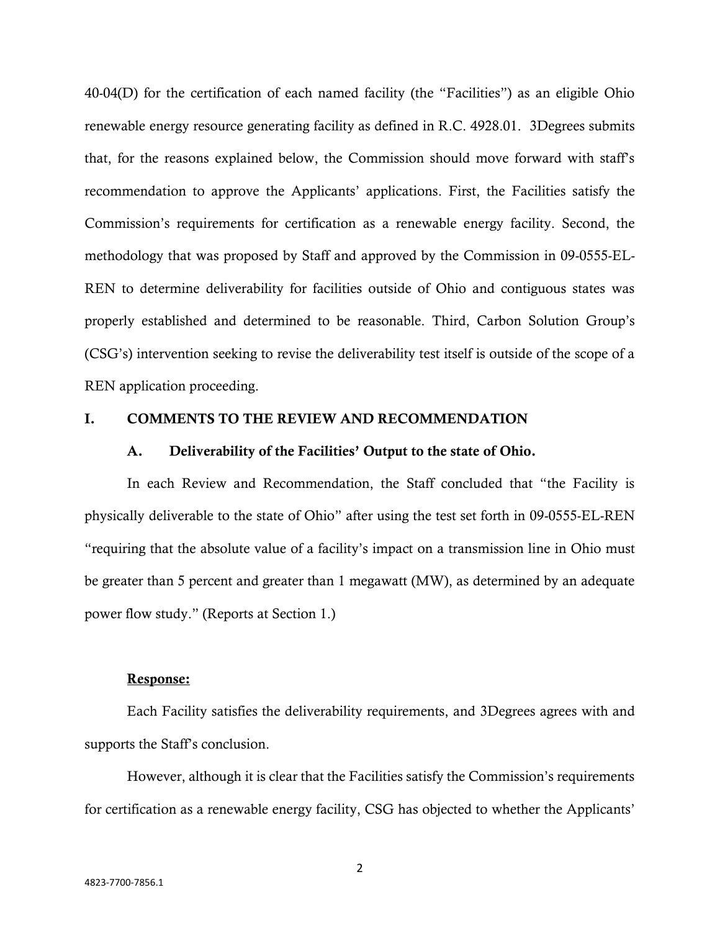40-04(D) for the certification of each named facility (the "Facilities") as an eligible Ohio renewable energy resource generating facility as defined in R.C. 4928.01. 3Degrees submits that, for the reasons explained below, the Commission should move forward with staff's recommendation to approve the Applicants' applications. First, the Facilities satisfy the Commission's requirements for certification as a renewable energy facility. Second, the methodology that was proposed by Staff and approved by the Commission in 09-0555-EL-REN to determine deliverability for facilities outside of Ohio and contiguous states was properly established and determined to be reasonable. Third, Carbon Solution Group's (CSG's) intervention seeking to revise the deliverability test itself is outside of the scope of a REN application proceeding.

#### **I. COMMENTS TO THE REVIEW AND RECOMMENDATION**

#### **A. Deliverability of the Facilities' Output to the state of Ohio.**

In each Review and Recommendation, the Staff concluded that "the Facility is physically deliverable to the state of Ohio" after using the test set forth in 09-0555-EL-REN "requiring that the absolute value of a facility's impact on a transmission line in Ohio must be greater than 5 percent and greater than 1 megawatt (MW), as determined by an adequate power flow study." (Reports at Section 1.)

#### **Response:**

Each Facility satisfies the deliverability requirements, and 3Degrees agrees with and supports the Staff's conclusion.

However, although it is clear that the Facilities satisfy the Commission's requirements for certification as a renewable energy facility, CSG has objected to whether the Applicants'

2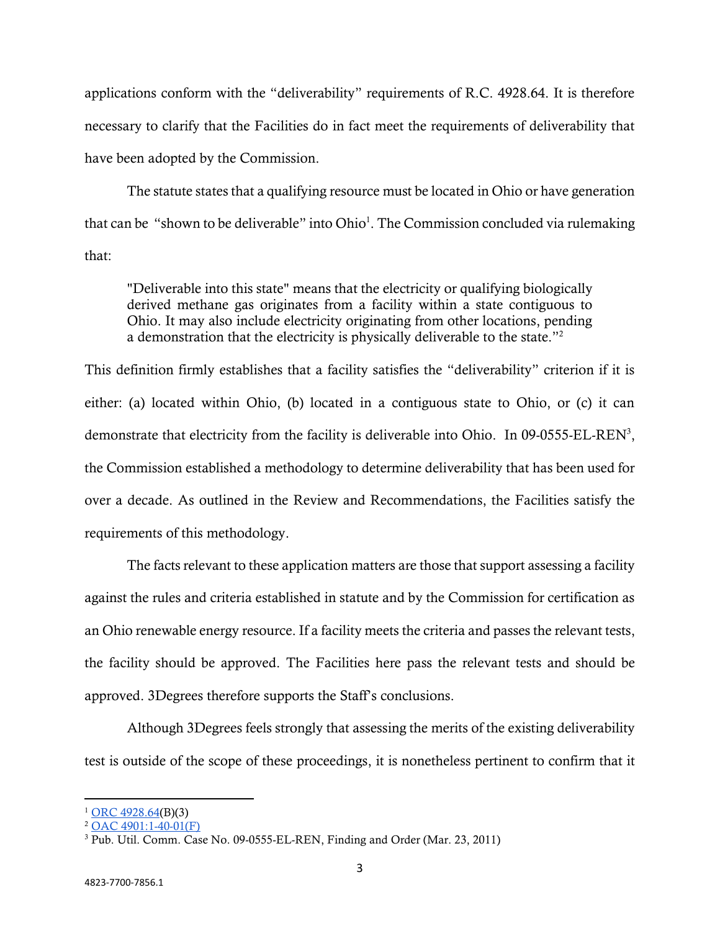applications conform with the "deliverability" requirements of R.C. 4928.64. It is therefore necessary to clarify that the Facilities do in fact meet the requirements of deliverability that have been adopted by the Commission.

The statute states that a qualifying resource must be located in Ohio or have generation that can be "shown to be deliverable" into Ohio<sup>1</sup>. The Commission concluded via rulemaking that:

"Deliverable into this state" means that the electricity or qualifying biologically derived methane gas originates from a facility within a state contiguous to Ohio. It may also include electricity originating from other locations, pending a demonstration that the electricity is physically deliverable to the state."<sup>2</sup>

This definition firmly establishes that a facility satisfies the "deliverability" criterion if it is either: (a) located within Ohio, (b) located in a contiguous state to Ohio, or (c) it can demonstrate that electricity from the facility is deliverable into Ohio. In 09-0555-EL-REN<sup>3</sup>, the Commission established a methodology to determine deliverability that has been used for over a decade. As outlined in the Review and Recommendations, the Facilities satisfy the requirements of this methodology.

The facts relevant to these application matters are those that support assessing a facility against the rules and criteria established in statute and by the Commission for certification as an Ohio renewable energy resource. If a facility meets the criteria and passes the relevant tests, the facility should be approved. The Facilities here pass the relevant tests and should be approved. 3Degrees therefore supports the Staff's conclusions.

Although 3Degrees feels strongly that assessing the merits of the existing deliverability test is outside of the scope of these proceedings, it is nonetheless pertinent to confirm that it

 $1$  [ORC 4928.64\(](http://codes.ohio.gov/orc/4928.64v1)B)(3)

 $2$  [OAC 4901:1-40-01\(F\)](http://codes.ohio.gov/oac/4901%3A1-40)

<sup>&</sup>lt;sup>3</sup> Pub. Util. Comm. Case No. 09-0555-EL-REN, Finding and Order (Mar. 23, 2011)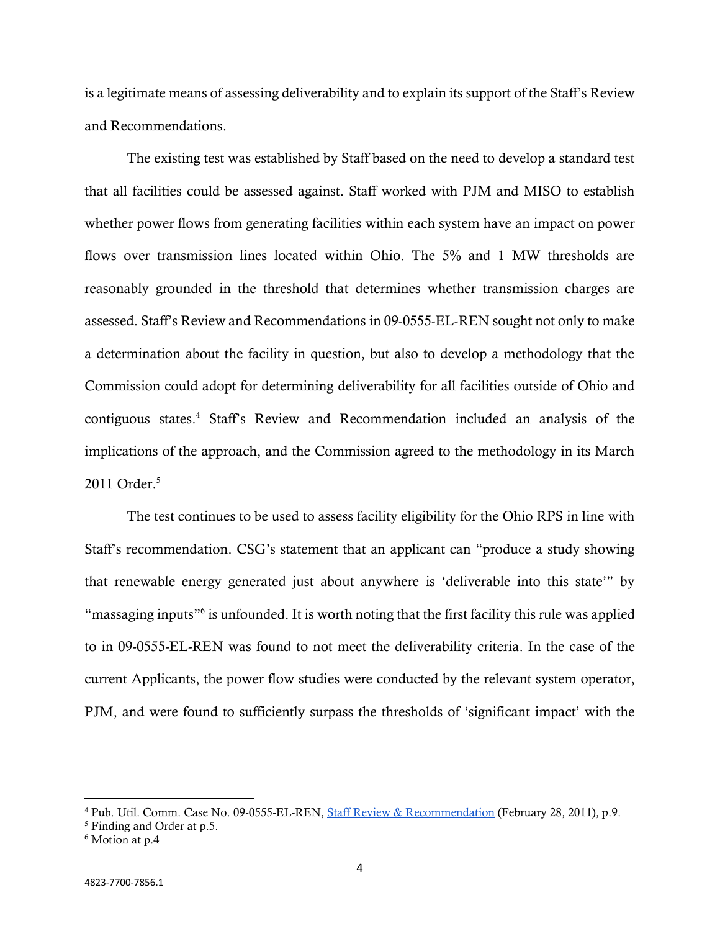is a legitimate means of assessing deliverability and to explain its support of the Staff's Review and Recommendations.

The existing test was established by Staff based on the need to develop a standard test that all facilities could be assessed against. Staff worked with PJM and MISO to establish whether power flows from generating facilities within each system have an impact on power flows over transmission lines located within Ohio. The 5% and 1 MW thresholds are reasonably grounded in the threshold that determines whether transmission charges are assessed. Staff's Review and Recommendations in 09-0555-EL-REN sought not only to make a determination about the facility in question, but also to develop a methodology that the Commission could adopt for determining deliverability for all facilities outside of Ohio and contiguous states.<sup>4</sup> Staff's Review and Recommendation included an analysis of the implications of the approach, and the Commission agreed to the methodology in its March 2011 Order.<sup>5</sup>

The test continues to be used to assess facility eligibility for the Ohio RPS in line with Staff's recommendation. CSG's statement that an applicant can "produce a study showing that renewable energy generated just about anywhere is 'deliverable into this state'" by "massaging inputs"<sup>6</sup> is unfounded. It is worth noting that the first facility this rule was applied to in 09-0555-EL-REN was found to not meet the deliverability criteria. In the case of the current Applicants, the power flow studies were conducted by the relevant system operator, PJM, and were found to sufficiently surpass the thresholds of 'significant impact' with the

<sup>4</sup> Pub. Util. Comm. Case No. 09-0555-EL-REN, [Staff Review & Recommendation](https://dis.puc.state.oh.us/ViewImage.aspx?CMID=A1001001A11B28B11733H46971) (February 28, 2011), p.9.

<sup>5</sup> Finding and Order at p.5.

<sup>6</sup> Motion at p.4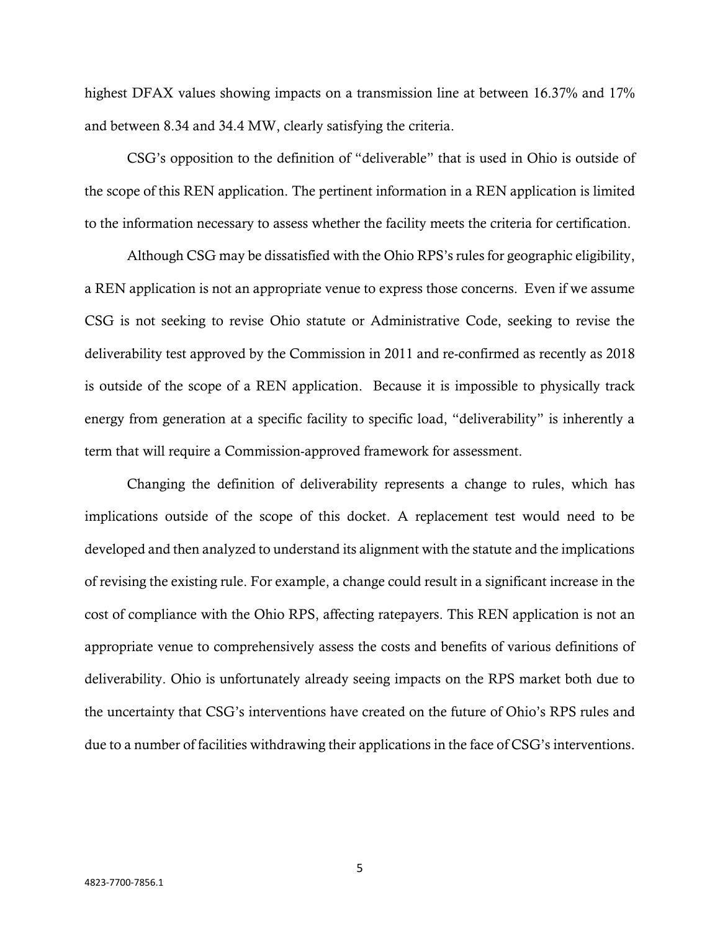highest DFAX values showing impacts on a transmission line at between 16.37% and 17% and between 8.34 and 34.4 MW, clearly satisfying the criteria.

CSG's opposition to the definition of "deliverable" that is used in Ohio is outside of the scope of this REN application. The pertinent information in a REN application is limited to the information necessary to assess whether the facility meets the criteria for certification.

Although CSG may be dissatisfied with the Ohio RPS's rules for geographic eligibility, a REN application is not an appropriate venue to express those concerns. Even if we assume CSG is not seeking to revise Ohio statute or Administrative Code, seeking to revise the deliverability test approved by the Commission in 2011 and re-confirmed as recently as 2018 is outside of the scope of a REN application. Because it is impossible to physically track energy from generation at a specific facility to specific load, "deliverability" is inherently a term that will require a Commission-approved framework for assessment.

Changing the definition of deliverability represents a change to rules, which has implications outside of the scope of this docket. A replacement test would need to be developed and then analyzed to understand its alignment with the statute and the implications of revising the existing rule. For example, a change could result in a significant increase in the cost of compliance with the Ohio RPS, affecting ratepayers. This REN application is not an appropriate venue to comprehensively assess the costs and benefits of various definitions of deliverability. Ohio is unfortunately already seeing impacts on the RPS market both due to the uncertainty that CSG's interventions have created on the future of Ohio's RPS rules and due to a number of facilities withdrawing their applications in the face of CSG's interventions.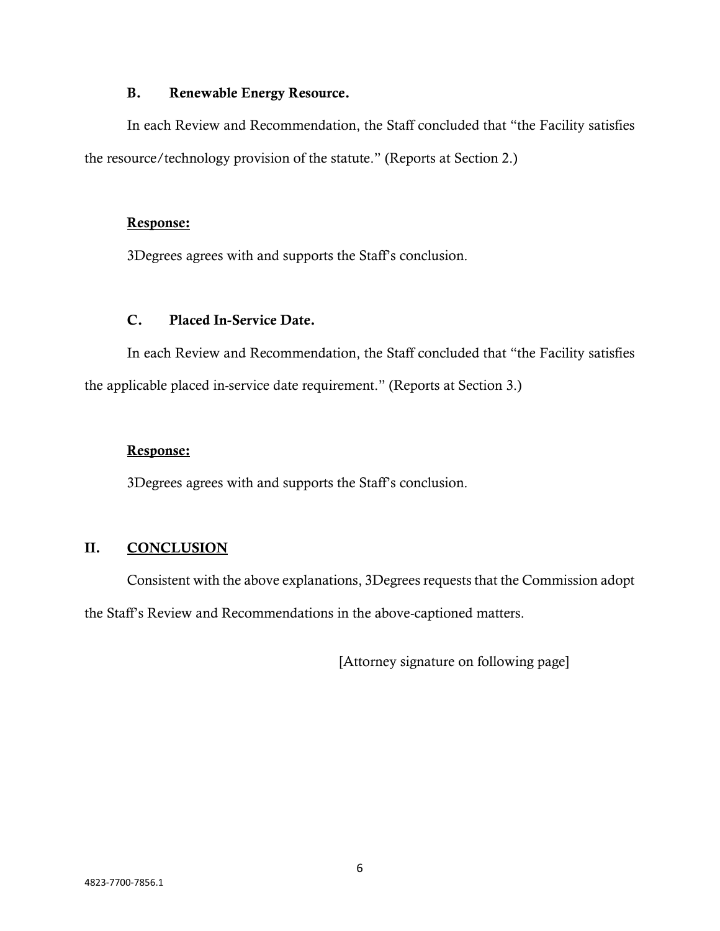### **B. Renewable Energy Resource.**

In each Review and Recommendation, the Staff concluded that "the Facility satisfies the resource/technology provision of the statute." (Reports at Section 2.)

### **Response:**

3Degrees agrees with and supports the Staff's conclusion.

## **C. Placed In-Service Date.**

In each Review and Recommendation, the Staff concluded that "the Facility satisfies the applicable placed in-service date requirement." (Reports at Section 3.)

### **Response:**

3Degrees agrees with and supports the Staff's conclusion.

## **II. CONCLUSION**

Consistent with the above explanations, 3Degrees requests that the Commission adopt the Staff's Review and Recommendations in the above-captioned matters.

[Attorney signature on following page]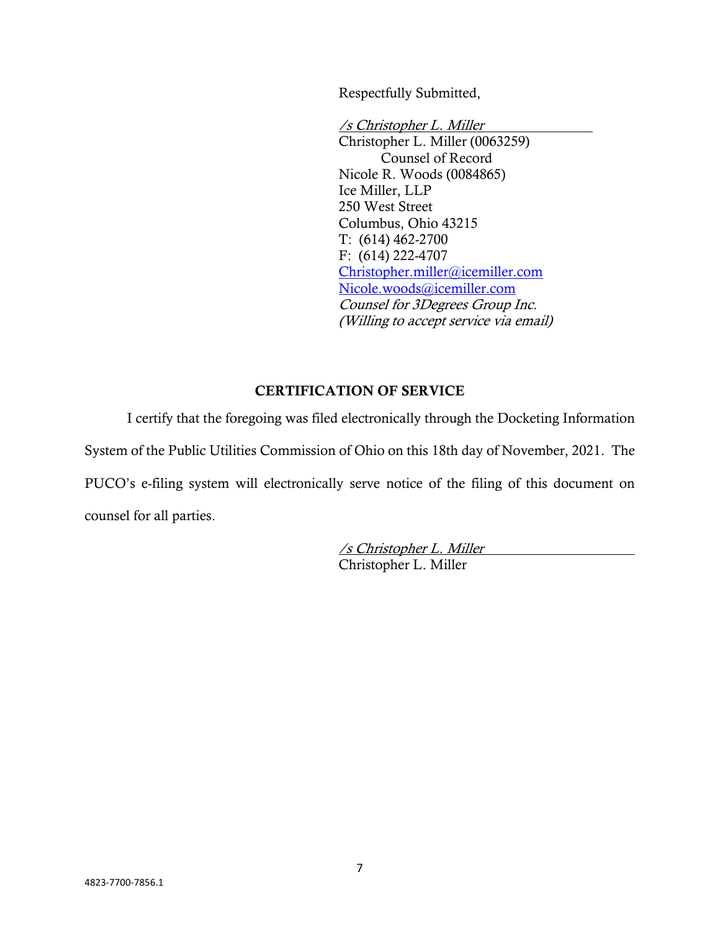Respectfully Submitted,

/s Christopher L. Miller Christopher L. Miller (0063259) Counsel of Record Nicole R. Woods (0084865) Ice Miller, LLP 250 West Street Columbus, Ohio 43215 T: (614) 462-2700 F: (614) 222-4707 [Christopher.miller@icemiller.com](mailto:Christopher.miller@icemiller.com) [Nicole.woods@icemiller.com](mailto:Nicole.woods@icemiller.com) Counsel for 3Degrees Group Inc. (Willing to accept service via email)

## **CERTIFICATION OF SERVICE**

I certify that the foregoing was filed electronically through the Docketing Information System of the Public Utilities Commission of Ohio on this 18th day of November, 2021. The PUCO's e-filing system will electronically serve notice of the filing of this document on counsel for all parties.

> /s Christopher L. Miller Christopher L. Miller